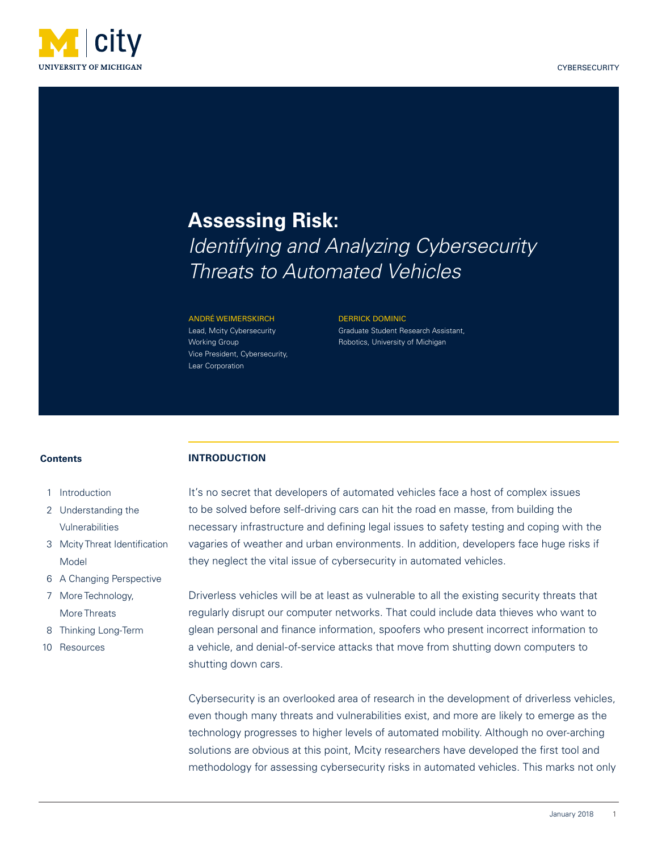

# **Assessing Risk:**  *Identifying and Analyzing Cybersecurity Threats to Automated Vehicles*

#### ANDRÉ WEIMERSKIRCH

**INTRODUCTION**

Lead, Mcity Cybersecurity Working Group Vice President, Cybersecurity, Lear Corporation

DERRICK DOMINIC Graduate Student Research Assistant, Robotics, University of Michigan

## **Contents**

- 1 Introduction
- 2 Understanding the Vulnerabilities
- 3 Mcity Threat Identification Model
- 6 A Changing Perspective
- 7 More Technology, More Threats
- 8 Thinking Long-Term
- 10 Resources

It's no secret that developers of automated vehicles face a host of complex issues to be solved before self-driving cars can hit the road en masse, from building the necessary infrastructure and defining legal issues to safety testing and coping with the vagaries of weather and urban environments. In addition, developers face huge risks if they neglect the vital issue of cybersecurity in automated vehicles.

Driverless vehicles will be at least as vulnerable to all the existing security threats that regularly disrupt our computer networks. That could include data thieves who want to glean personal and finance information, spoofers who present incorrect information to a vehicle, and denial-of-service attacks that move from shutting down computers to shutting down cars.

Cybersecurity is an overlooked area of research in the development of driverless vehicles, even though many threats and vulnerabilities exist, and more are likely to emerge as the technology progresses to higher levels of automated mobility. Although no over-arching solutions are obvious at this point, Mcity researchers have developed the first tool and methodology for assessing cybersecurity risks in automated vehicles. This marks not only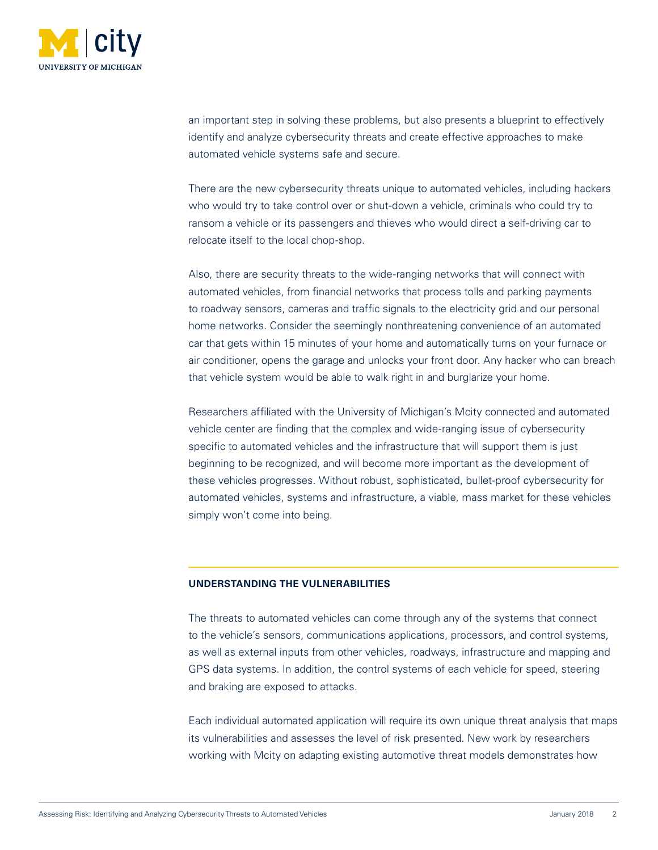

an important step in solving these problems, but also presents a blueprint to effectively identify and analyze cybersecurity threats and create effective approaches to make automated vehicle systems safe and secure.

There are the new cybersecurity threats unique to automated vehicles, including hackers who would try to take control over or shut-down a vehicle, criminals who could try to ransom a vehicle or its passengers and thieves who would direct a self-driving car to relocate itself to the local chop-shop.

Also, there are security threats to the wide-ranging networks that will connect with automated vehicles, from financial networks that process tolls and parking payments to roadway sensors, cameras and traffic signals to the electricity grid and our personal home networks. Consider the seemingly nonthreatening convenience of an automated car that gets within 15 minutes of your home and automatically turns on your furnace or air conditioner, opens the garage and unlocks your front door. Any hacker who can breach that vehicle system would be able to walk right in and burglarize your home.

Researchers affiliated with the University of Michigan's Mcity connected and automated vehicle center are finding that the complex and wide-ranging issue of cybersecurity specific to automated vehicles and the infrastructure that will support them is just beginning to be recognized, and will become more important as the development of these vehicles progresses. Without robust, sophisticated, bullet-proof cybersecurity for automated vehicles, systems and infrastructure, a viable, mass market for these vehicles simply won't come into being.

# **UNDERSTANDING THE VULNERABILITIES**

The threats to automated vehicles can come through any of the systems that connect to the vehicle's sensors, communications applications, processors, and control systems, as well as external inputs from other vehicles, roadways, infrastructure and mapping and GPS data systems. In addition, the control systems of each vehicle for speed, steering and braking are exposed to attacks.

Each individual automated application will require its own unique threat analysis that maps its vulnerabilities and assesses the level of risk presented. New work by researchers working with Mcity on adapting existing automotive threat models demonstrates how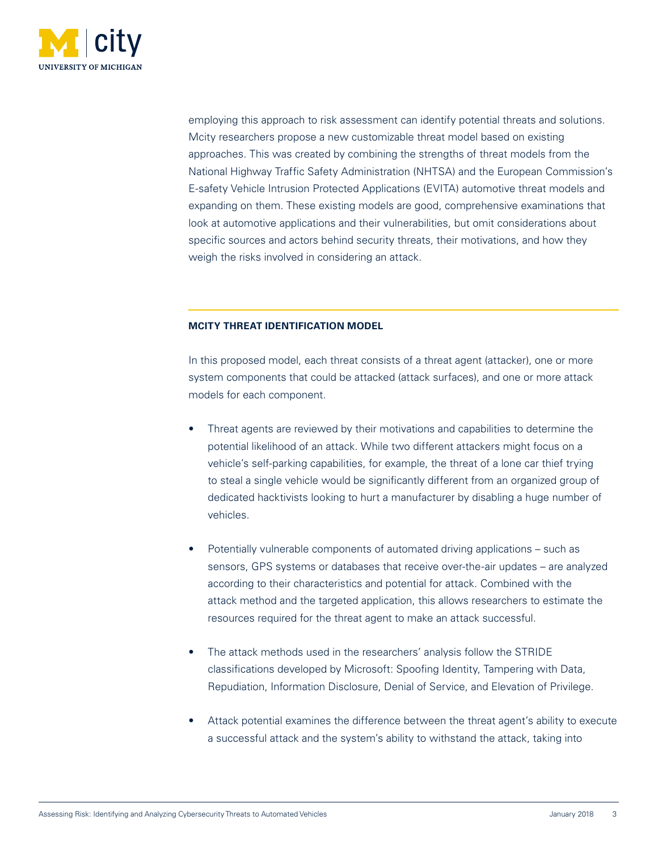

employing this approach to risk assessment can identify potential threats and solutions. Mcity researchers propose a new customizable threat model based on existing approaches. This was created by combining the strengths of threat models from the National Highway Traffic Safety Administration (NHTSA) and the European Commission's E-safety Vehicle Intrusion Protected Applications (EVITA) automotive threat models and expanding on them. These existing models are good, comprehensive examinations that look at automotive applications and their vulnerabilities, but omit considerations about specific sources and actors behind security threats, their motivations, and how they weigh the risks involved in considering an attack.

# **MCITY THREAT IDENTIFICATION MODEL**

In this proposed model, each threat consists of a threat agent (attacker), one or more system components that could be attacked (attack surfaces), and one or more attack models for each component.

- Threat agents are reviewed by their motivations and capabilities to determine the potential likelihood of an attack. While two different attackers might focus on a vehicle's self-parking capabilities, for example, the threat of a lone car thief trying to steal a single vehicle would be significantly different from an organized group of dedicated hacktivists looking to hurt a manufacturer by disabling a huge number of vehicles.
- Potentially vulnerable components of automated driving applications such as sensors, GPS systems or databases that receive over-the-air updates – are analyzed according to their characteristics and potential for attack. Combined with the attack method and the targeted application, this allows researchers to estimate the resources required for the threat agent to make an attack successful.
- The attack methods used in the researchers' analysis follow the STRIDE classifications developed by Microsoft: Spoofing Identity, Tampering with Data, Repudiation, Information Disclosure, Denial of Service, and Elevation of Privilege.
- Attack potential examines the difference between the threat agent's ability to execute a successful attack and the system's ability to withstand the attack, taking into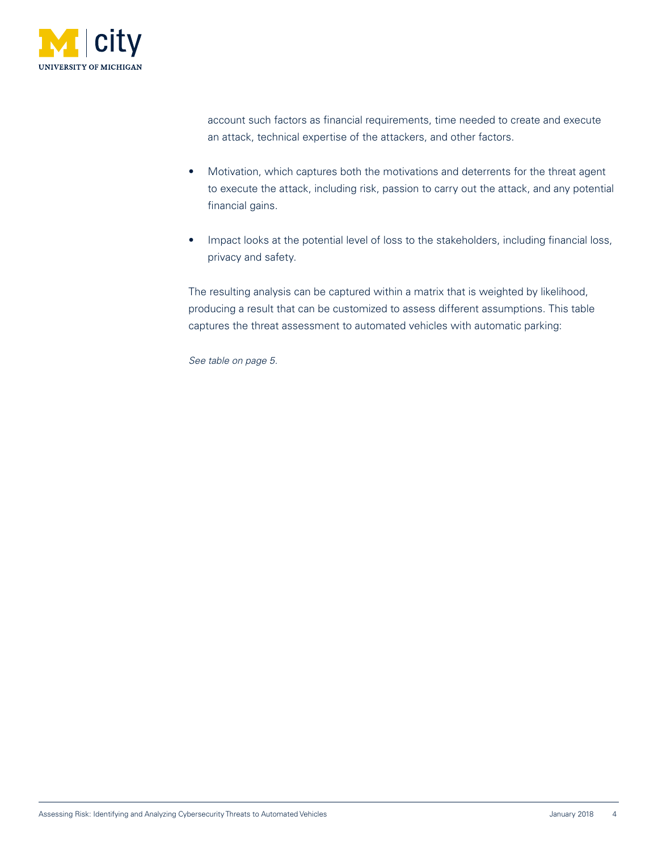

account such factors as financial requirements, time needed to create and execute an attack, technical expertise of the attackers, and other factors.

- Motivation, which captures both the motivations and deterrents for the threat agent to execute the attack, including risk, passion to carry out the attack, and any potential financial gains.
- Impact looks at the potential level of loss to the stakeholders, including financial loss, privacy and safety.

The resulting analysis can be captured within a matrix that is weighted by likelihood, producing a result that can be customized to assess different assumptions. This table captures the threat assessment to automated vehicles with automatic parking:

*See table on page 5.*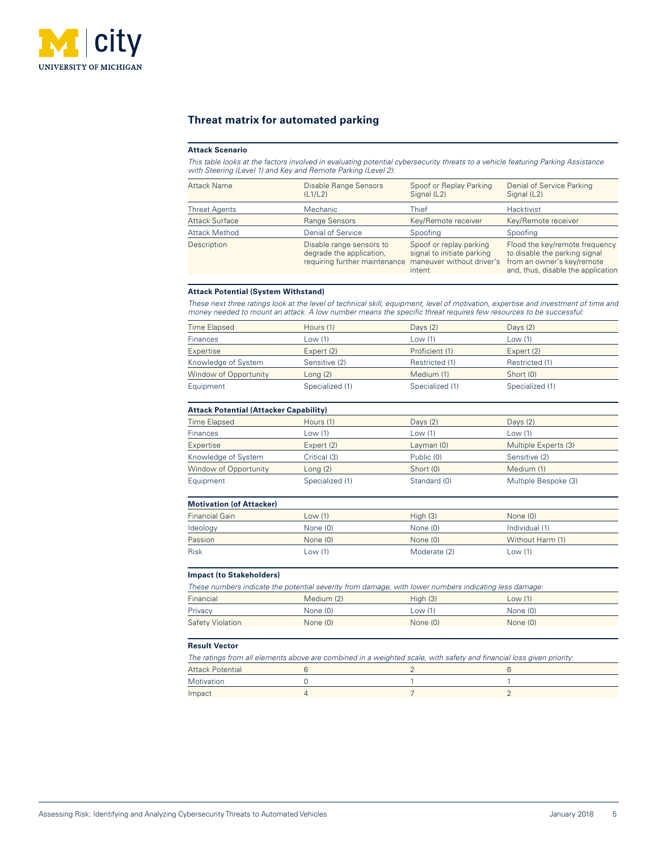

# **Threat matrix for automated parking**

#### **Attack Scenario**

l

*This table looks at the factors involved in evaluating potential cybersecurity threats to a vehicle featuring Parking Assistance with Steering (Level 1) and Key and Remote Parking (Level 2):*

| <b>Disable Range Sensors</b><br>(L1/L2)              | Spoof or Replay Parking<br>Signal (L2)                          | Denial of Service Parking<br>Signal (L2)                                                                                                                      |
|------------------------------------------------------|-----------------------------------------------------------------|---------------------------------------------------------------------------------------------------------------------------------------------------------------|
| <b>Mechanic</b>                                      | Thief                                                           | Hacktivist                                                                                                                                                    |
| <b>Range Sensors</b>                                 | Key/Remote receiver                                             | Key/Remote receiver                                                                                                                                           |
| Denial of Service                                    | Spoofing                                                        | Spoofing                                                                                                                                                      |
| Disable range sensors to<br>degrade the application, | Spoof or replay parking<br>signal to initiate parking<br>intent | Flood the key/remote frequency<br>to disable the parking signal<br>maneuver without driver's from an owner's key/remote<br>and, thus, disable the application |
|                                                      |                                                                 | requiring further maintenance                                                                                                                                 |

#### **Attack Potential (System Withstand)**

*These next three ratings look at the level of technical skill, equipment, level of motivation, expertise and investment of time and money needed to mount an attack. A low number means the specific threat requires few resources to be successful:*

| <b>Time Elapsed</b>   | Hours (1)       | Days $(2)$      | Days $(2)$      |
|-----------------------|-----------------|-----------------|-----------------|
| <b>Finances</b>       | Low (1)         | Low $(1)$       | Low $(1)$       |
| <b>Expertise</b>      | Expert (2)      | Proficient (1)  | Expert (2)      |
| Knowledge of System   | Sensitive (2)   | Restricted (1)  | Restricted (1)  |
| Window of Opportunity | Long $(2)$      | Medium (1)      | Short (0)       |
| Equipment             | Specialized (1) | Specialized (1) | Specialized (1) |
|                       |                 |                 |                 |

## **Attack Potential (Attacker Capability)**

| <b>Time Elapsed</b>          | Hours (1)       | Days $(2)$   | Days $(2)$           |
|------------------------------|-----------------|--------------|----------------------|
| Finances                     | Low (1)         | Low (1)      | Low (1)              |
| <b>Expertise</b>             | Expert $(2)$    | Layman $(0)$ | Multiple Experts (3) |
| Knowledge of System          | Critical (3)    | Public (0)   | Sensitive (2)        |
| <b>Window of Opportunity</b> | $L$ ong (2)     | Short (0)    | Medium (1)           |
| Equipment                    | Specialized (1) | Standard (0) | Multiple Bespoke (3) |
|                              |                 |              |                      |

## **Motivation (of Attacker)**

| <b>Financial Gain</b> | Low(1)     | High(3)      | None $(0)$       |
|-----------------------|------------|--------------|------------------|
| Ideology              | None (0)   | None (0)     | Individual (1)   |
| Passion               | None $(0)$ | None $(0)$   | Without Harm (1) |
| Risk                  | Low (1)    | Moderate (2) | Low (1)          |
|                       |            |              |                  |

#### **Impact (to Stakeholders)**

| These numbers indicate the potential severity from damage, with lower numbers indicating less damage: |            |            |            |  |
|-------------------------------------------------------------------------------------------------------|------------|------------|------------|--|
| Financial                                                                                             | Medium (2) | Hiah (3)   | Low(1)     |  |
| Privacy                                                                                               | None $(0)$ | Low(1)     | None (0)   |  |
| <b>Safety Violation</b>                                                                               | None $(0)$ | None $(0)$ | None $(0)$ |  |

#### **Result Vector**

 $\overline{a}$ 

| The ratings from all elements above are combined in a weighted scale, with safety and financial loss given priority: |  |  |  |  |
|----------------------------------------------------------------------------------------------------------------------|--|--|--|--|
| Attack Potential                                                                                                     |  |  |  |  |
| Motivation                                                                                                           |  |  |  |  |
| Impact                                                                                                               |  |  |  |  |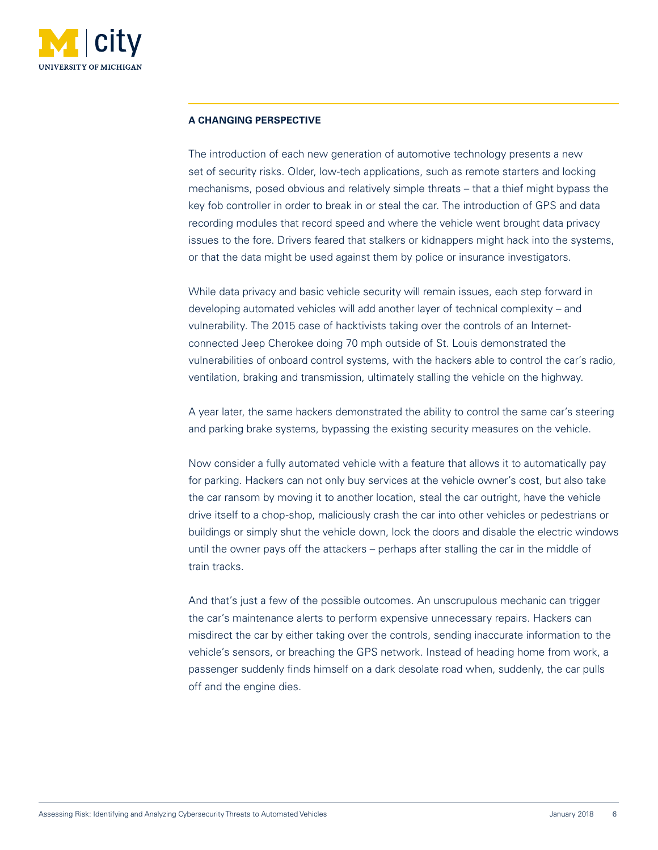

# **A CHANGING PERSPECTIVE**

The introduction of each new generation of automotive technology presents a new set of security risks. Older, low-tech applications, such as remote starters and locking mechanisms, posed obvious and relatively simple threats – that a thief might bypass the key fob controller in order to break in or steal the car. The introduction of GPS and data recording modules that record speed and where the vehicle went brought data privacy issues to the fore. Drivers feared that stalkers or kidnappers might hack into the systems, or that the data might be used against them by police or insurance investigators.

While data privacy and basic vehicle security will remain issues, each step forward in developing automated vehicles will add another layer of technical complexity – and vulnerability. The 2015 case of hacktivists taking over the controls of an Internetconnected Jeep Cherokee doing 70 mph outside of St. Louis demonstrated the vulnerabilities of onboard control systems, with the hackers able to control the car's radio, ventilation, braking and transmission, ultimately stalling the vehicle on the highway.

A year later, the same hackers demonstrated the ability to control the same car's steering and parking brake systems, bypassing the existing security measures on the vehicle.

Now consider a fully automated vehicle with a feature that allows it to automatically pay for parking. Hackers can not only buy services at the vehicle owner's cost, but also take the car ransom by moving it to another location, steal the car outright, have the vehicle drive itself to a chop-shop, maliciously crash the car into other vehicles or pedestrians or buildings or simply shut the vehicle down, lock the doors and disable the electric windows until the owner pays off the attackers – perhaps after stalling the car in the middle of train tracks.

And that's just a few of the possible outcomes. An unscrupulous mechanic can trigger the car's maintenance alerts to perform expensive unnecessary repairs. Hackers can misdirect the car by either taking over the controls, sending inaccurate information to the vehicle's sensors, or breaching the GPS network. Instead of heading home from work, a passenger suddenly finds himself on a dark desolate road when, suddenly, the car pulls off and the engine dies.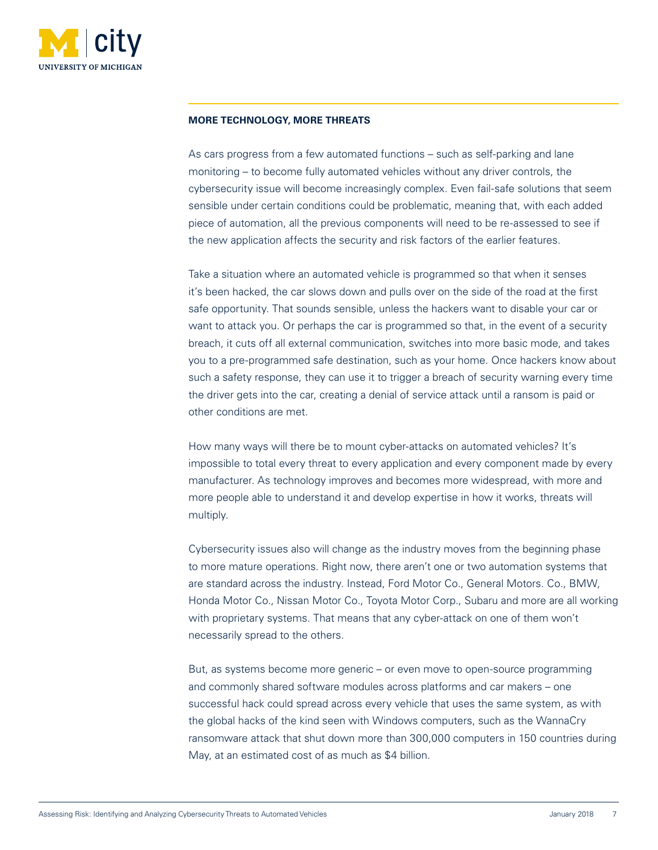

# **MORE TECHNOLOGY, MORE THREATS**

As cars progress from a few automated functions – such as self-parking and lane monitoring – to become fully automated vehicles without any driver controls, the cybersecurity issue will become increasingly complex. Even fail-safe solutions that seem sensible under certain conditions could be problematic, meaning that, with each added piece of automation, all the previous components will need to be re-assessed to see if the new application affects the security and risk factors of the earlier features.

Take a situation where an automated vehicle is programmed so that when it senses it's been hacked, the car slows down and pulls over on the side of the road at the first safe opportunity. That sounds sensible, unless the hackers want to disable your car or want to attack you. Or perhaps the car is programmed so that, in the event of a security breach, it cuts off all external communication, switches into more basic mode, and takes you to a pre-programmed safe destination, such as your home. Once hackers know about such a safety response, they can use it to trigger a breach of security warning every time the driver gets into the car, creating a denial of service attack until a ransom is paid or other conditions are met.

How many ways will there be to mount cyber-attacks on automated vehicles? It's impossible to total every threat to every application and every component made by every manufacturer. As technology improves and becomes more widespread, with more and more people able to understand it and develop expertise in how it works, threats will multiply.

Cybersecurity issues also will change as the industry moves from the beginning phase to more mature operations. Right now, there aren't one or two automation systems that are standard across the industry. Instead, Ford Motor Co., General Motors. Co., BMW, Honda Motor Co., Nissan Motor Co., Toyota Motor Corp., Subaru and more are all working with proprietary systems. That means that any cyber-attack on one of them won't necessarily spread to the others.

But, as systems become more generic – or even move to open-source programming and commonly shared software modules across platforms and car makers – one successful hack could spread across every vehicle that uses the same system, as with the global hacks of the kind seen with Windows computers, such as the WannaCry ransomware attack that shut down more than 300,000 computers in 150 countries during May, at an estimated cost of as much as \$4 billion.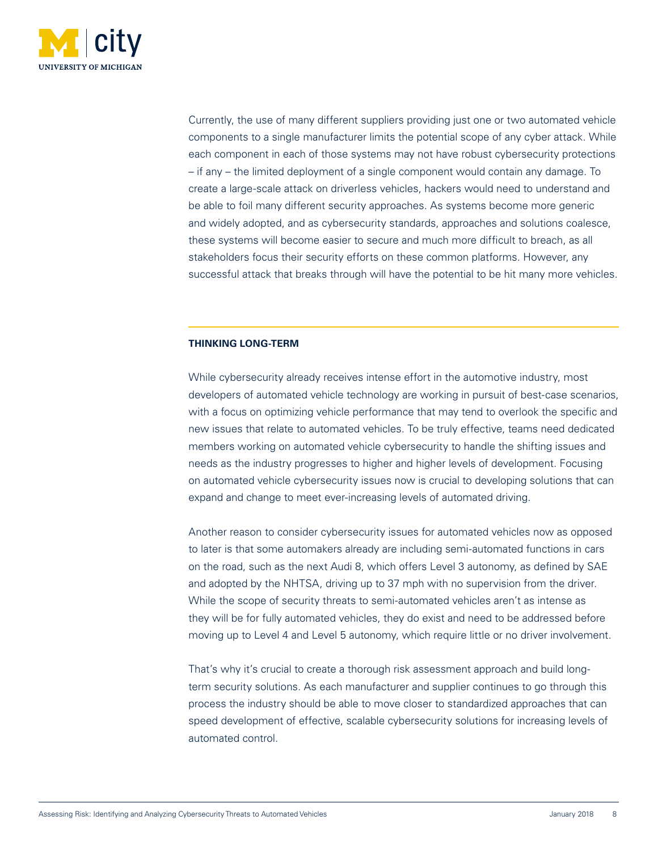

Currently, the use of many different suppliers providing just one or two automated vehicle components to a single manufacturer limits the potential scope of any cyber attack. While each component in each of those systems may not have robust cybersecurity protections – if any – the limited deployment of a single component would contain any damage. To create a large-scale attack on driverless vehicles, hackers would need to understand and be able to foil many different security approaches. As systems become more generic and widely adopted, and as cybersecurity standards, approaches and solutions coalesce, these systems will become easier to secure and much more difficult to breach, as all stakeholders focus their security efforts on these common platforms. However, any successful attack that breaks through will have the potential to be hit many more vehicles.

# **THINKING LONG-TERM**

While cybersecurity already receives intense effort in the automotive industry, most developers of automated vehicle technology are working in pursuit of best-case scenarios, with a focus on optimizing vehicle performance that may tend to overlook the specific and new issues that relate to automated vehicles. To be truly effective, teams need dedicated members working on automated vehicle cybersecurity to handle the shifting issues and needs as the industry progresses to higher and higher levels of development. Focusing on automated vehicle cybersecurity issues now is crucial to developing solutions that can expand and change to meet ever-increasing levels of automated driving.

Another reason to consider cybersecurity issues for automated vehicles now as opposed to later is that some automakers already are including semi-automated functions in cars on the road, such as the next Audi 8, which offers Level 3 autonomy, as defined by SAE and adopted by the NHTSA, driving up to 37 mph with no supervision from the driver. While the scope of security threats to semi-automated vehicles aren't as intense as they will be for fully automated vehicles, they do exist and need to be addressed before moving up to Level 4 and Level 5 autonomy, which require little or no driver involvement.

That's why it's crucial to create a thorough risk assessment approach and build longterm security solutions. As each manufacturer and supplier continues to go through this process the industry should be able to move closer to standardized approaches that can speed development of effective, scalable cybersecurity solutions for increasing levels of automated control.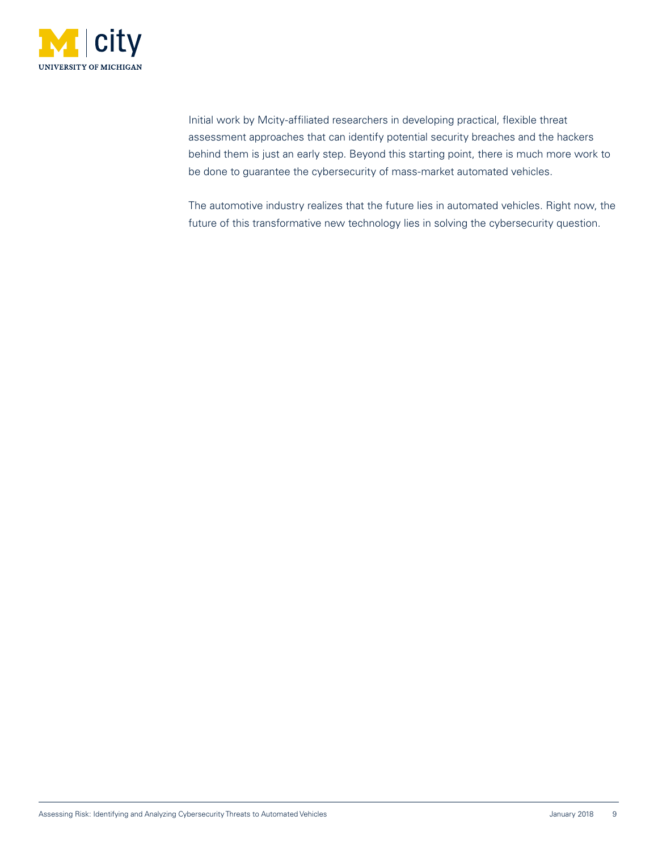

Initial work by Mcity-affiliated researchers in developing practical, flexible threat assessment approaches that can identify potential security breaches and the hackers behind them is just an early step. Beyond this starting point, there is much more work to be done to guarantee the cybersecurity of mass-market automated vehicles.

The automotive industry realizes that the future lies in automated vehicles. Right now, the future of this transformative new technology lies in solving the cybersecurity question.